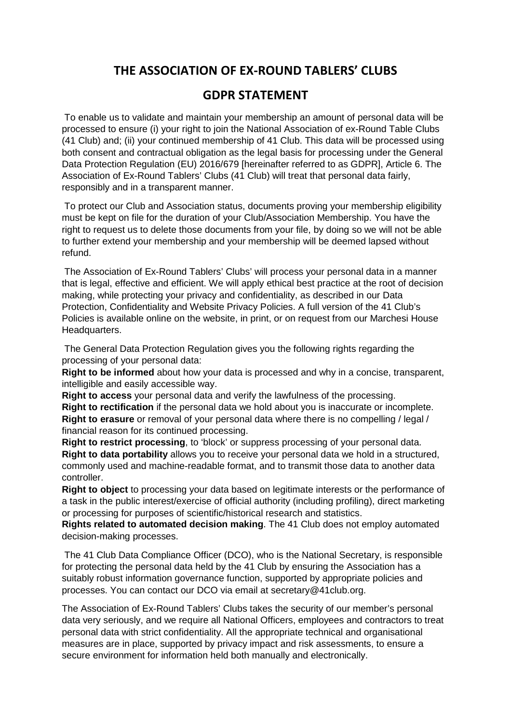## **THE ASSOCIATION OF EX-ROUND TABLERS' CLUBS**

## **GDPR STATEMENT**

 To enable us to validate and maintain your membership an amount of personal data will be processed to ensure (i) your right to join the National Association of ex-Round Table Clubs (41 Club) and; (ii) your continued membership of 41 Club. This data will be processed using both consent and contractual obligation as the legal basis for processing under the General Data Protection Regulation (EU) 2016/679 [hereinafter referred to as GDPR], Article 6. The Association of Ex-Round Tablers' Clubs (41 Club) will treat that personal data fairly, responsibly and in a transparent manner.

 To protect our Club and Association status, documents proving your membership eligibility must be kept on file for the duration of your Club/Association Membership. You have the right to request us to delete those documents from your file, by doing so we will not be able to further extend your membership and your membership will be deemed lapsed without refund.

 The Association of Ex-Round Tablers' Clubs' will process your personal data in a manner that is legal, effective and efficient. We will apply ethical best practice at the root of decision making, while protecting your privacy and confidentiality, as described in our Data Protection, Confidentiality and Website Privacy Policies. A full version of the 41 Club's Policies is available online on the website, in print, or on request from our Marchesi House Headquarters.

 The General Data Protection Regulation gives you the following rights regarding the processing of your personal data:

**Right to be informed** about how your data is processed and why in a concise, transparent, intelligible and easily accessible way.

**Right to access** your personal data and verify the lawfulness of the processing. **Right to rectification** if the personal data we hold about you is inaccurate or incomplete. **Right to erasure** or removal of your personal data where there is no compelling / legal /

financial reason for its continued processing. **Right to restrict processing**, to 'block' or suppress processing of your personal data. **Right to data portability** allows you to receive your personal data we hold in a structured, commonly used and machine-readable format, and to transmit those data to another data controller.

**Right to object** to processing your data based on legitimate interests or the performance of a task in the public interest/exercise of official authority (including profiling), direct marketing or processing for purposes of scientific/historical research and statistics.

**Rights related to automated decision making**. The 41 Club does not employ automated decision-making processes.

 The 41 Club Data Compliance Officer (DCO), who is the National Secretary, is responsible for protecting the personal data held by the 41 Club by ensuring the Association has a suitably robust information governance function, supported by appropriate policies and processes. You can contact our DCO via email at secretary@41club.org.

The Association of Ex-Round Tablers' Clubs takes the security of our member's personal data very seriously, and we require all National Officers, employees and contractors to treat personal data with strict confidentiality. All the appropriate technical and organisational measures are in place, supported by privacy impact and risk assessments, to ensure a secure environment for information held both manually and electronically.